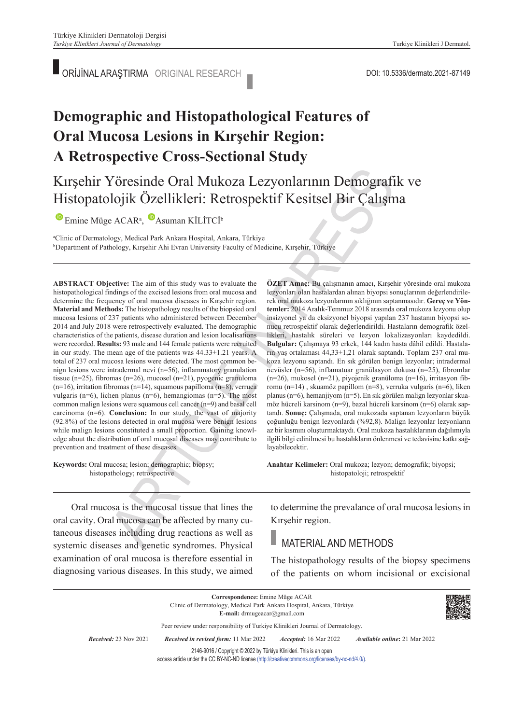ORİJİNAL ARAŞTIRMA ORIGINAL RESEARCH **DOLLA ARAŞTIRMA ORIGINAL RESEARCH** 

# **Demographic and Histopathological Features of Oral Mucosa Lesions in Kırşehir Region: A Retrospective Cross-Sectional Study**

# Kırşehir Yöresinde Oral Mukoza Lezyonlarının Demografik ve Histopatolojik Özellikleri: Retrospektif Kesitsel Bir Çalışma

## EmineMüge ACAR<sup>a</sup>, Asuman KİLİTCİ<sup>b</sup>

a Clinic of Dermatology, Medical Park Ankara Hospital, Ankara, Türkiye b Department of Pathology, Kırşehir Ahi Evran University Faculty of Medicine, Kırşehir, Türkiye

**ABS TRACT Objective:** The aim of this study was to evaluate the histopathological findings of the excised lesions from oral mucosa and determine the frequency of oral mucosa diseases in Kırşehir region. **Material and Methods:** The histopathology results of the biopsied oral mucosa lesions of 237 patients who administered between December 2014 and July 2018 were retrospectively evaluated. The demographic characteristics of the patients, disease duration and lesion localisations were recorded. **Results:** 93 male and 144 female patients were recruited in our study. The mean age of the patients was 44.33±1.21 years. A total of 237 oral mucosa lesions were detected. The most common benign lesions were intradermal nevi (n=56), inflammatory granulation tissue (n=25), fibromas (n=26), mucosel (n=21), pyogenic granuloma (n=16), irritation fibromas (n=14), squamous papilloma (n=8), verruca vulgaris (n=6), lichen planus (n=6), hemangiomas (n=5). The most common malign lesions were squamous cell cancer (n=9) and basal cell carcinoma (n=6). **Conclusion:** In our study, the vast of majority (92.8%) of the lesions detected in oral mucosa were benign lesions while malign lesions constituted a small proportion. Gaining knowledge about the distribution of oral mucosal diseases may contribute to prevention and treatment of these diseases.

**Keywords:** Oral mucosa; lesion; demographic; biopsy; histopathology; retrospective

**ÖZET Amaç:** Bu çalışmanın amacı, Kırşehir yöresinde oral mukoza lezyonları olan hastalardan alınan biyopsi sonuçlarının değerlendirilerek oral mukoza lezyonlarının sıklığının saptanmasıdır. **Gereç ve Yöntemler:** 2014 Aralık-Temmuz 2018 arasında oral mukoza lezyonu olup insizyonel ya da eksizyonel biyopsi yapılan 237 hastanın biyopsi sonucu retrospektif olarak değerlendirildi. Hastaların demografik özellikleri, hastalık süreleri ve lezyon lokalizasyonları kaydedildi. **Bulgular:** Çalışmaya 93 erkek, 144 kadın hasta dâhil edildi. Hastaların yaş ortalaması 44,33±1,21 olarak saptandı. Toplam 237 oral mukoza lezyonu saptandı. En sık görülen benign lezyonlar; intradermal nevüsler (n=56), inflamatuar granülasyon dokusu (n=25), fibromlar (n=26), mukosel (n=21), piyojenik granüloma (n=16), irritasyon fibromu (n=14) , skuamöz papillom (n=8), verruka vulgaris (n=6), liken planus (n=6), hemanjiyom (n=5). En sık görülen malign lezyonlar skuamöz hücreli karsinom (n=9), bazal hücreli karsinom (n=6) olarak saptandı. **Sonuç:** Çalışmada, oral mukozada saptanan lezyonların büyük çoğunluğu benign lezyonlardı (%92,8). Malign lezyonlar lezyonların az bir kısmını oluşturmaktaydı. Oral mukoza hastalıklarının dağılımıyla ilgili bilgi edinilmesi bu hastalıkların önlenmesi ve tedavisine katkı sağlayabilecektir.

Anahtar Kelimeler: Oral mukoza; lezyon; demografik; biyopsi; histopatoloji; retrospektif

Oral mucosa is the mucosal tissue that lines the oral cavity. Oral mucosa can be affected by many cutaneous diseases including drug reactions as well as systemic diseases and genetic syndromes. Physical examination of oral mucosa is therefore essential in diagnosing various diseases. In this study, we aimed

to determine the prevalance of oral mucosa lesions in Kırşehir region.

## MATERIAL AND METHODS

The histopathology results of the biopsy specimens of the patients on whom incisional or excisional

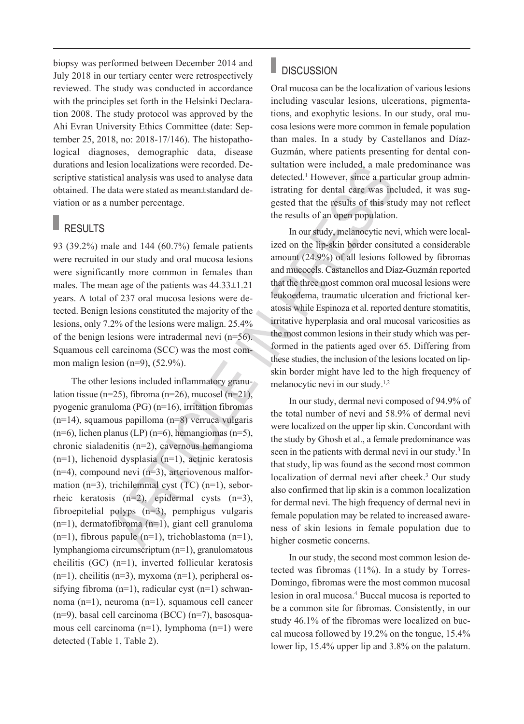biopsy was performed between December 2014 and July 2018 in our tertiary center were retrospectively reviewed. The study was conducted in accordance with the principles set forth in the Helsinki Declaration 2008. The study protocol was approved by the Ahi Evran University Ethics Committee (date: September 25, 2018, no: 2018-17/146). The histopathological diagnoses, demographic data, disease durations and lesion localizations were recorded. Descriptive statistical analysis was used to analyse data obtained. The data were stated as mean±standard deviation or as a number percentage.

# RESULTS

93 (39.2%) male and 144 (60.7%) female patients were recruited in our study and oral mucosa lesions were significantly more common in females than males. The mean age of the patients was 44.33±1.21 years. A total of 237 oral mucosa lesions were detected. Benign lesions constituted the majority of the lesions, only 7.2% of the lesions were malign. 25.4% of the benign lesions were intradermal nevi (n=56). Squamous cell carcinoma (SCC) was the most common malign lesion  $(n=9)$ ,  $(52.9\%)$ .

The other lesions included inflammatory granulation tissue (n=25), fibroma (n=26), mucosel (n=21), pyogenic granuloma (PG) (n=16), irritation fibromas (n=14), squamous papilloma (n=8) verruca vulgaris  $(n=6)$ , lichen planus (LP)  $(n=6)$ , hemangiomas  $(n=5)$ , chronic sialadenitis (n=2), cavernous hemangioma (n=1), lichenoid dysplasia (n=1), actinic keratosis  $(n=4)$ , compound nevi  $(n=3)$ , arteriovenous malformation (n=3), trichilemmal cyst (TC) (n=1), seborrheic keratosis (n=2), epidermal cysts (n=3), fibroepitelial polyps (n=3), pemphigus vulgaris (n=1), dermatofibroma (n=1), giant cell granuloma  $(n=1)$ , fibrous papule  $(n=1)$ , trichoblastoma  $(n=1)$ , lymphangioma circumscriptum (n=1), granulomatous cheilitis (GC) (n=1), inverted follicular keratosis  $(n=1)$ , cheilitis  $(n=3)$ , myxoma  $(n=1)$ , peripheral ossifying fibroma (n=1), radicular cyst (n=1) schwannoma (n=1), neuroma (n=1), squamous cell cancer (n=9), basal cell carcinoma (BCC) (n=7), basosquamous cell carcinoma (n=1), lymphoma (n=1) were detected (Table 1, Table 2).

#### П **DISCUSSION**

Oral mucosa can be the localization of various lesions including vascular lesions, ulcerations, pigmentations, and exophytic lesions. In our study, oral mucosa lesions were more common in female population than males. In a study by Castellanos and Díaz-Guzmán, where patients presenting for dental consultation were included, a male predominance was detected.<sup>1</sup> However, since a particular group administrating for dental care was included, it was suggested that the results of this study may not reflect the results of an open population.

In our study, melanocytic nevi, which were localized on the lip-skin border consituted a considerable amount (24.9%) of all lesions followed by fibromas and mucocels. Castanellos and Díaz-Guzmán reported that the three most common oral mucosal lesions were leukoedema, traumatic ulceration and frictional keratosis while Espinoza et al. reported denture stomatitis, irritative hyperplasia and oral mucosal varicosities as the most common lesions in their study which was performed in the patients aged over 65. Differing from these studies, the inclusion of the lesions located on lipskin border might have led to the high frequency of melanocytic nevi in our study.<sup>1,2</sup>

In our study, dermal nevi composed of 94.9% of the total number of nevi and 58.9% of dermal nevi were localized on the upper lip skin. Concordant with the study by Ghosh et al., a female predominance was seen in the patients with dermal nevi in our study.<sup>3</sup> In that study, lip was found as the second most common localization of dermal nevi after cheek.<sup>3</sup> Our study also confirmed that lip skin is a common localization for dermal nevi. The high frequency of dermal nevi in female population may be related to increased awareness of skin lesions in female population due to higher cosmetic concerns.

In our study, the second most common lesion detected was fibromas (11%). In a study by Torres-Domingo, fibromas were the most common mucosal lesion in oral mucosa.4 Buccal mucosa is reported to be a common site for fibromas. Consistently, in our study 46.1% of the fibromas were localized on buccal mucosa followed by 19.2% on the tongue, 15.4% lower lip, 15.4% upper lip and 3.8% on the palatum.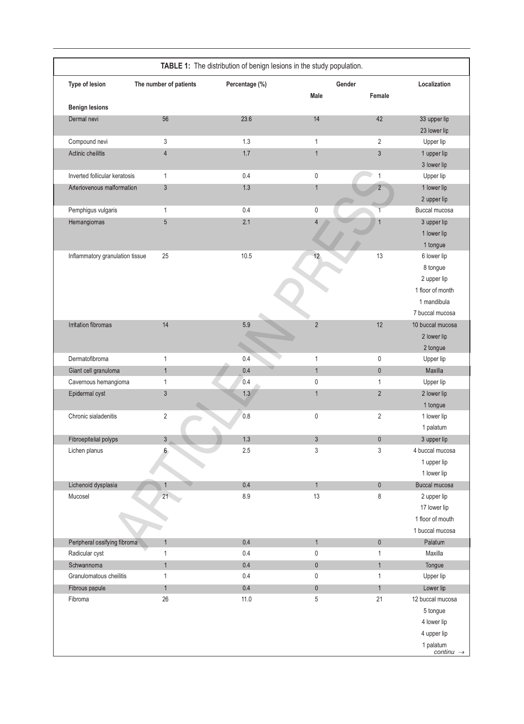| Type of lesion                  | The number of patients | Percentage (%) | Gender          |                | Localization              |
|---------------------------------|------------------------|----------------|-----------------|----------------|---------------------------|
|                                 |                        |                | <b>Male</b>     | Female         |                           |
| <b>Benign lesions</b>           |                        |                |                 |                |                           |
| Dermal nevi                     | 56                     | 23.6           | 14              | 42             | 33 upper lip              |
| Compound nevi                   | 3                      | 1.3            | $\mathbf{1}$    | $\overline{2}$ | 23 lower lip<br>Upper lip |
| Actinic cheilitis               | $\overline{4}$         | 1.7            | $\mathbf{1}$    | $\sqrt{3}$     | 1 upper lip               |
|                                 |                        |                |                 |                | 3 lower lip               |
| Inverted follicular keratosis   | 1                      | 0.4            | $\mathsf{0}$    | $\mathbf{1}$   | Upper lip                 |
| Arteriovenous malformation      | $\sqrt{3}$             | 1.3            | $\mathbf{1}$    | $\overline{2}$ | 1 lower lip               |
|                                 |                        |                |                 |                | 2 upper lip               |
| Pemphigus vulgaris              | 1                      | 0.4            | $\pmb{0}$       | $\overline{1}$ | Buccal mucosa             |
| Hemangiomas                     | $\overline{5}$         | 2.1            | $\Delta$        | $\overline{1}$ | 3 upper lip               |
|                                 |                        |                |                 |                | 1 lower lip               |
|                                 |                        |                |                 |                | 1 tongue                  |
| Inflammatory granulation tissue | 25                     | 10.5           | 12 <sup>°</sup> | 13             | 6 lower lip               |
|                                 |                        |                |                 |                | 8 tongue                  |
|                                 |                        |                |                 |                | 2 upper lip               |
|                                 |                        |                |                 |                | 1 floor of month          |
|                                 |                        |                |                 |                | 1 mandibula               |
|                                 |                        |                |                 |                | 7 buccal mucosa           |
| Irritation fibromas             | 14                     | 5.9            | $\overline{2}$  | 12             | 10 buccal mucosa          |
|                                 |                        |                |                 |                | 2 lower lip               |
|                                 |                        |                |                 |                | 2 tongue                  |
| Dermatofibroma                  | $\mathbf{1}$           | 0.4            | $\mathbf{1}$    | $\pmb{0}$      | Upper lip                 |
| Giant cell granuloma            | $\mathbf{1}$           | 0.4            | $\mathbf{1}$    | $\mathbf 0$    | Maxilla                   |
| Cavernous hemangioma            | 1                      | 0.4            | $\mathsf{0}$    | $\mathbf{1}$   | Upper lip                 |
| Epidermal cyst                  | 3                      | 1.3            | $\mathbf{1}$    | $\overline{2}$ | 2 lower lip               |
|                                 |                        |                |                 |                | 1 tongue                  |
| Chronic sialadenitis            | $\sqrt{2}$             | 0.8            | $\mathsf{0}$    | $\overline{2}$ | 1 lower lip               |
|                                 |                        |                |                 |                | 1 palatum                 |
| Fibroepitelial polyps           | $\mathfrak{S}$         | 1.3            | $\mathfrak{Z}$  | $\pmb{0}$      | 3 upper lip               |
| Lichen planus                   | 6                      | 2.5            | 3               | 3              | 4 buccal mucosa           |
|                                 |                        |                |                 |                | 1 upper lip               |
|                                 |                        |                |                 |                | 1 lower lip               |
| Lichenoid dysplasia             | $\mathbf{1}$           | 0.4            | $\mathbf{1}$    | $\pmb{0}$      | Buccal mucosa             |
| Mucosel                         | 21                     | 8.9            | 13              | 8              | 2 upper lip               |
|                                 |                        |                |                 |                | 17 lower lip              |
|                                 |                        |                |                 |                | 1 floor of mouth          |
|                                 |                        |                |                 |                | 1 buccal mucosa           |
| Peripheral ossifying fibroma    | $\mathbf{1}$           | 0.4            | $\mathbf{1}$    | $\pmb{0}$      | Palatum                   |
| Radicular cyst                  | 1                      | 0.4            | 0               | $\mathbf{1}$   | Maxilla                   |
| Schwannoma                      | $\mathbf{1}$           | 0.4            | $\mathbf 0$     | $\mathbf{1}$   | Tongue                    |
| Granulomatous cheilitis         | 1                      | 0.4            | 0               | $\mathbf{1}$   | Upper lip                 |
| Fibrous papule                  | $\mathbf{1}$           | 0.4            | $\mathbf 0$     | $\mathbf{1}$   | Lower lip                 |
| Fibroma                         | 26                     | 11.0           | 5               | 21             | 12 buccal mucosa          |
|                                 |                        |                |                 |                | 5 tongue                  |
|                                 |                        |                |                 |                | 4 lower lip               |
|                                 |                        |                |                 |                | 4 upper lip               |
|                                 |                        |                |                 |                | 1 palatum                 |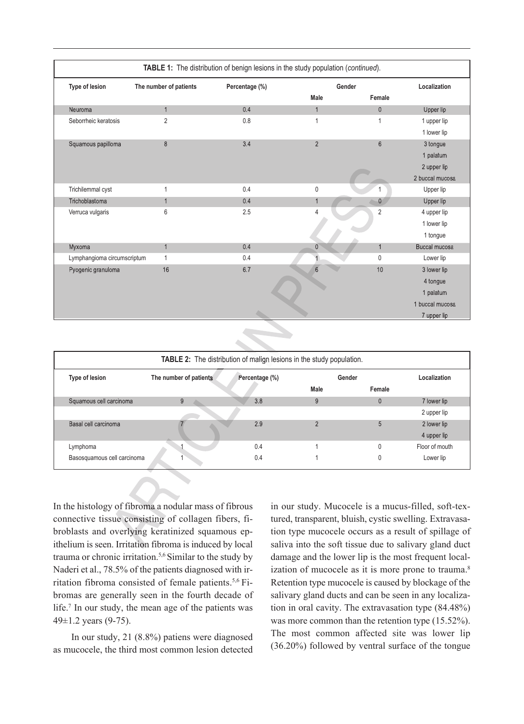| TABLE 1: The distribution of benign lesions in the study population (continued). |                        |                |                 |                 |                      |  |  |
|----------------------------------------------------------------------------------|------------------------|----------------|-----------------|-----------------|----------------------|--|--|
| Type of lesion                                                                   | The number of patients | Percentage (%) | Gender          |                 | Localization         |  |  |
|                                                                                  |                        |                | <b>Male</b>     | Female          |                      |  |  |
| Neuroma                                                                          | $\mathbf{1}$           | 0.4            | $\overline{1}$  | $\mathbf{0}$    | Upper lip            |  |  |
| Seborrheic keratosis                                                             | $\overline{2}$         | 0.8            | $\overline{1}$  | $\mathbf{1}$    | 1 upper lip          |  |  |
|                                                                                  |                        |                |                 |                 | 1 lower lip          |  |  |
| Squamous papilloma                                                               | 8                      | 3.4            | $\overline{2}$  | $6\overline{6}$ | 3 tongue             |  |  |
|                                                                                  |                        |                |                 |                 | 1 palatum            |  |  |
|                                                                                  |                        |                |                 |                 | 2 upper lip          |  |  |
|                                                                                  |                        |                |                 |                 | 2 buccal mucosa      |  |  |
| Trichilemmal cyst                                                                | 1                      | 0.4            | $\mathbf 0$     |                 | Upper lip            |  |  |
| Trichoblastoma                                                                   | $\mathbf{1}$           | 0.4            | $\mathbf{1}$    | $\mathbf{0}$    | Upper lip            |  |  |
| Verruca vulgaris                                                                 | 6                      | 2.5            | 4               | $\overline{2}$  | 4 upper lip          |  |  |
|                                                                                  |                        |                |                 |                 | 1 lower lip          |  |  |
|                                                                                  |                        |                |                 |                 | 1 tongue             |  |  |
| Myxoma                                                                           | $\mathbf{1}$           | 0.4            | $\overline{0}$  | $\overline{1}$  | <b>Buccal mucosa</b> |  |  |
| Lymphangioma circumscriptum                                                      | 1                      | 0.4            |                 | $\mathbf{0}$    | Lower lip            |  |  |
| Pyogenic granuloma                                                               | 16                     | 6.7            | $6\overline{6}$ | 10              | 3 lower lip          |  |  |
|                                                                                  |                        |                |                 |                 | 4 tongue             |  |  |
|                                                                                  |                        |                |                 |                 | 1 palatum            |  |  |
|                                                                                  |                        |                |                 |                 | 1 buccal mucosa      |  |  |
|                                                                                  |                        |                |                 |                 | 7 upper lip          |  |  |

| <b>TABLE 2:</b> The distribution of malign lesions in the study population. |                        |                |        |        |                |  |  |  |
|-----------------------------------------------------------------------------|------------------------|----------------|--------|--------|----------------|--|--|--|
| Type of lesion                                                              | The number of patients | Percentage (%) | Gender |        | Localization   |  |  |  |
|                                                                             |                        |                | Male   | Female |                |  |  |  |
| Squamous cell carcinoma                                                     | 9                      | 3.8            | 9      | C      | 7 lower lip    |  |  |  |
|                                                                             |                        |                |        |        | 2 upper lip    |  |  |  |
| Basal cell carcinoma                                                        |                        | 2.9            | C      | 5      | 2 lower lip    |  |  |  |
|                                                                             |                        |                |        |        | 4 upper lip    |  |  |  |
| Lymphoma                                                                    |                        | 0.4            |        |        | Floor of mouth |  |  |  |
| Basosquamous cell carcinoma                                                 |                        | 0.4            |        | C      | Lower lip      |  |  |  |

In the histology of fibroma a nodular mass of fibrous connective tissue consisting of collagen fibers, fibroblasts and overlying keratinized squamous epithelium is seen. Irritation fibroma is induced by local trauma or chronic irritation.5,6 Similar to the study by Naderi et al., 78.5% of the patients diagnosed with irritation fibroma consisted of female patients.<sup>5,6</sup> Fibromas are generally seen in the fourth decade of life.<sup>7</sup> In our study, the mean age of the patients was 49±1.2 years (9-75).

In our study, 21 (8.8%) patiens were diagnosed as mucocele, the third most common lesion detected in our study. Mucocele is a mucus-filled, soft-textured, transparent, bluish, cystic swelling. Extravasation type mucocele occurs as a result of spillage of saliva into the soft tissue due to salivary gland duct damage and the lower lip is the most frequent localization of mucocele as it is more prone to trauma.<sup>8</sup> Retention type mucocele is caused by blockage of the salivary gland ducts and can be seen in any localization in oral cavity. The extravasation type (84.48%) was more common than the retention type (15.52%). The most common affected site was lower lip (36.20%) followed by ventral surface of the tongue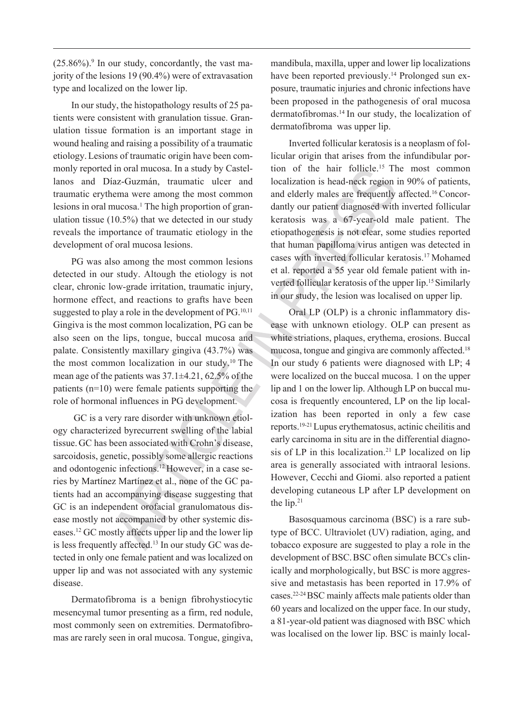$(25.86\%)$ . In our study, concordantly, the vast majority of the lesions 19 (90.4%) were of extravasation type and localized on the lower lip.

In our study, the histopathology results of 25 patients were consistent with granulation tissue. Granulation tissue formation is an important stage in wound healing and raising a possibility of a traumatic etiology.Lesions of traumatic origin have been commonly reported in oral mucosa. In a study by Castellanos and Díaz-Guzmán, traumatic ulcer and traumatic erythema were among the most common lesions in oral mucosa.<sup>1</sup> The high proportion of granulation tissue (10.5%) that we detected in our study reveals the importance of traumatic etiology in the development of oral mucosa lesions.

PG was also among the most common lesions detected in our study. Altough the etiology is not clear, chronic low-grade irritation, traumatic injury, hormone effect, and reactions to grafts have been suggested to play a role in the development of  $PG<sub>10,11</sub>$ Gingiva is the most common localization, PG can be also seen on the lips, tongue, buccal mucosa and palate. Consistently maxillary gingiva (43.7%) was the most common localization in our study.10 The mean age of the patients was 37.1±4.21, 62.5% of the patients (n=10) were female patients supporting the role of hormonal influences in PG development.

 GC is a very rare disorder with unknown etiology characterized byrecurrent swelling of the labial tissue.GC has been associated with Crohn's disease, sarcoidosis, genetic, possibly some allergic reactions and odontogenic infections.12 However, in a case series by Martínez Martínez et al., none of the GC patients had an accompanying disease suggesting that GC is an independent orofacial granulomatous disease mostly not accompanied by other systemic diseases.12 GC mostly affects upper lip and the lower lip is less frequently affected.<sup>13</sup> In our study GC was detected in only one female patient and was localized on upper lip and was not associated with any systemic disease.

Dermatofibroma is a benign fibrohystiocytic mesencymal tumor presenting as a firm, red nodule, most commonly seen on extremities. Dermatofibromas are rarely seen in oral mucosa. Tongue, gingiva, mandibula, maxilla, upper and lower lip localizations have been reported previously.<sup>14</sup> Prolonged sun exposure, traumatic injuries and chronic infections have been proposed in the pathogenesis of oral mucosa dermatofibromas.14 In our study, the localization of dermatofibroma was upper lip.

Inverted follicular keratosis is a neoplasm of follicular origin that arises from the infundibular portion of the hair follicle.15 The most common localization is head-neck region in 90% of patients, and elderly males are frequently affected.<sup>16</sup> Concordantly our patient diagnosed with inverted follicular keratosis was a 67-year-old male patient. The etiopathogenesis is not clear, some studies reported that human papilloma virus antigen was detected in cases with inverted follicular keratosis.17 [Mohamed](https://www.ncbi.nlm.nih.gov/pubmed/?term=Mohamed%20M%5BAuthor%5D&cauthor=true&cauthor_uid=25469197)  et al. reported a 55 year old female patient with inverted follicular keratosis of the upper lip.15 Similarly in our study, the lesion was localised on upper lip.

Oral LP (OLP) is a chronic inflammatory disease with unknown etiology. OLP can present as white striations, plaques, erythema, erosions. Buccal mucosa, tongue and gingiva are commonly affected.<sup>18</sup> In our study 6 patients were diagnosed with LP; 4 were localized on the buccal mucosa. 1 on the upper lip and 1 on the lower lip. Although LP on buccal mucosa is frequently encountered, LP on the lip localization has been reported in only a few case reports.19-21 Lupus erythematosus, actinic cheilitis and early carcinoma in situ are in the differential diagnosis of LP in this localization.<sup>21</sup> LP localized on lip area is generally associated with intraoral lesions. However, Cecchi and Giomi. also reported a patient developing cutaneous LP after LP development on the lip.21

Basosquamous carcinoma (BSC) is a rare subtype of BCC. Ultraviolet (UV) radiation, aging, and tobacco exposure are suggested to play a role in the development of BSC.BSC often simulate BCCs clinically and morphologically, but BSC is more aggressive and metastasis has been reported in 17.9% of cases.22-24 BSC mainly affects male patients older than 60 years and localized on the upper face. In our study, a 81-year-old patient was diagnosed with BSC which was localised on the lower lip. BSC is mainly local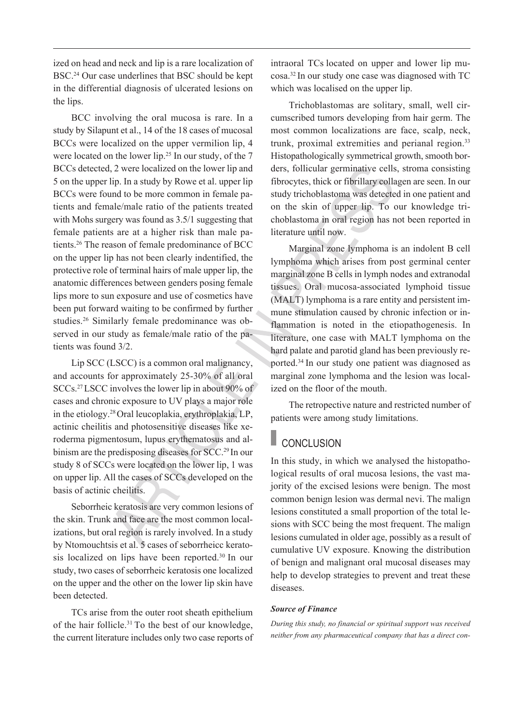ized on head and neck and lip is a rare localization of BSC.24 Our case underlines that BSC should be kept in the differential diagnosis of ulcerated lesions on the lips.

BCC involving the oral mucosa is rare. In a study by Silapunt et al., 14 of the 18 cases of mucosal BCCs were localized on the upper vermilion lip, 4 were located on the lower lip.<sup>25</sup> In our study, of the 7 BCCs detected, 2 were localized on the lower lip and 5 on the upper lip. In a study by Rowe et al. upper lip BCCs were found to be more common in female patients and female/male ratio of the patients treated with Mohs surgery was found as 3.5/1 suggesting that female patients are at a higher risk than male patients.26 The reason of female predominance of BCC on the upper lip has not been clearly indentified, the protective role of terminal hairs of male upper lip, the anatomic differences between genders posing female lips more to sun exposure and use of cosmetics have been put forward waiting to be confirmed by further studies.26 Similarly female predominance was observed in our study as female/male ratio of the patients was found 3/2.

Lip SCC (LSCC) is a common oral malignancy, and accounts for approximately 25-30% of all oral SCCs.27 LSCC involves the lower lip in about 90% of cases and chronic exposure to UV plays a major role in the etiology.28 Oral leucoplakia, erythroplakia, LP, actinic cheilitis and photosensitive diseases like xeroderma pigmentosum, lupus erythematosus and albinism are the predisposing diseases for SCC.29 In our study 8 of SCCs were located on the lower lip, 1 was on upper lip. All the cases of SCCs developed on the basis of actinic cheilitis.

Seborrheic keratosis are very common lesions of the skin. Trunk and face are the most common localizations, but oral region is rarely involved. In a study by Ntomouchtsis et al. 5 cases of seborrheicc keratosis localized on lips have been reported.30 In our study, two cases of seborrheic keratosis one localized on the upper and the other on the lower lip skin have been detected.

TCs arise from the outer root sheath epithelium of the hair follicle.<sup>31</sup> To the best of our knowledge, the current literature includes only two case reports of intraoral TCs located on upper and lower lip mucosa.32 In our study one case was diagnosed with TC which was localised on the upper lip.

Trichoblastomas are solitary, small, well circumscribed tumors developing from hair germ. The most common localizations are face, scalp, neck, trunk, proximal extremities and perianal region.<sup>33</sup> Histopathologically symmetrical growth, smooth borders, follicular germinative cells, stroma consisting fibrocytes, thick or fibrillary collagen are seen. In our study trichoblastoma was detected in one patient and on the skin of upper lip. To our knowledge trichoblastoma in oral region has not been reported in literature until now.

Marginal zone lymphoma is an indolent B cell lymphoma which arises from post germinal center marginal zone B cells in lymph nodes and extranodal tissues. Oral mucosa-associated lymphoid tissue (MALT) lymphoma is a rare entity and persistent immune stimulation caused by chronic infection or inflammation is noted in the etiopathogenesis. In literature, one case with MALT lymphoma on the hard palate and parotid gland has been previously reported.34 In our study one patient was diagnosed as marginal zone lymphoma and the lesion was localized on the floor of the mouth.

The retropective nature and restricted number of patients were among study limitations.

# **CONCLUSION**

In this study, in which we analysed the histopathological results of oral mucosa lesions, the vast majority of the excised lesions were benign. The most common benign lesion was dermal nevi. The malign lesions constituted a small proportion of the total lesions with SCC being the most frequent. The malign lesions cumulated in older age, possibly as a result of cumulative UV exposure. Knowing the distribution of benign and malignant oral mucosal diseases may help to develop strategies to prevent and treat these diseases.

### *Source of Finance*

*During this study, no financial or spiritual support was received neither from any pharmaceutical company that has a direct con-*